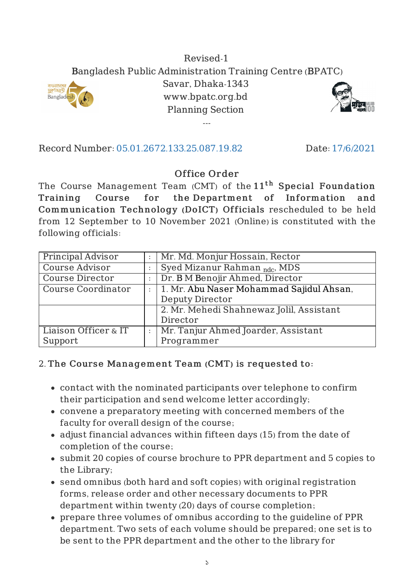## Revised-1 Bangladesh Public Administration Training Centre (BPATC)



Savar, Dhaka-1343 www.bpatc.org.bd Planning Section

---



Record Number: 05.01.2672.133.25.087.19.82 Date: 17/6/2021

## Office Order

The Course Management Team (CMT) of the  $11^{\rm th}$  Special Foundation Training Course for the Department of Information and Communication Technology (DoICT) Officials rescheduled to be held from 12 September to 10 November 2021 (Online) is constituted with the following officials:

| Principal Advisor         |                | Mr. Md. Monjur Hossain, Rector           |
|---------------------------|----------------|------------------------------------------|
| <b>Course Advisor</b>     | $\ddot{\cdot}$ | Syed Mizanur Rahman <sub>ndc</sub> , MDS |
| <b>Course Director</b>    | $\ddot{\cdot}$ | Dr. B M Benojir Ahmed, Director          |
| <b>Course Coordinator</b> | $\ddot{\cdot}$ | 1. Mr. Abu Naser Mohammad Sajidul Ahsan, |
|                           |                | <b>Deputy Director</b>                   |
|                           |                | 2. Mr. Mehedi Shahnewaz Jolil, Assistant |
|                           |                | Director                                 |
| Liaison Officer & IT      |                | Mr. Tanjur Ahmed Joarder, Assistant      |
| Support                   |                | Programmer                               |

## 2. The Course Management Team (CMT) is requested to:

- contact with the nominated participants over telephone to confirm their participation and send welcome letter accordingly;
- convene a preparatory meeting with concerned members of the faculty for overall design of the course;
- adjust financial advances within fifteen days (15) from the date of completion of the course;
- submit 20 copies of course brochure to PPR department and 5 copies to the Library;
- send omnibus (both hard and soft copies) with original registration forms, release order and other necessary documents to PPR department within twenty (20) days of course completion;
- prepare three volumes of omnibus according to the guideline of PPR department. Two sets of each volume should be prepared; one set is to be sent to the PPR department and the other to the library for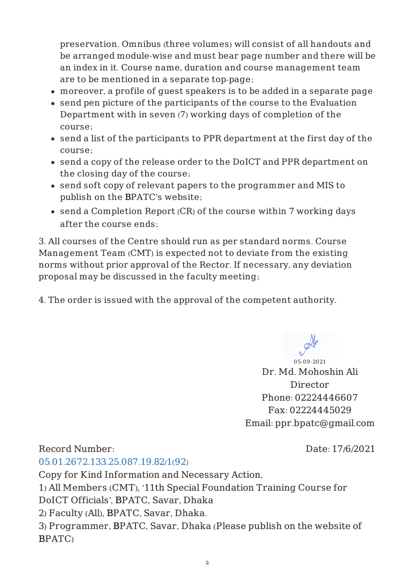preservation. Omnibus (three volumes) will consist of all handouts and be arranged module-wise and must bear page number and there will be an index in it. Course name, duration and course management team are to be mentioned in a separate top-page;

- moreover, a profile of guest speakers is to be added in a separate page
- send pen picture of the participants of the course to the Evaluation Department with in seven (7) working days of completion of the course;
- send a list of the participants to PPR department at the first day of the course;
- send a copy of the release order to the DoICT and PPR department on the closing day of the course;
- send soft copy of relevant papers to the programmer and MIS to publish on the BPATC's website;
- send a Completion Report (CR) of the course within 7 working days after the course ends;

3. All courses of the Centre should run as per standard norms. Course Management Team (CMT) is expected not to deviate from the existing norms without prior approval of the Rector. If necessary, any deviation proposal may be discussed in the faculty meeting;

4. The order is issued with the approval of the competent authority.

05-09-2021 Dr. Md. Mohoshin Ali Director Phone: 02224446607 Fax: 02224445029 Email: ppr.bpatc@gmail.com

Record Number:

Date: 17/6/2021

05.01.2672.133.25.087.19.82/1(92) Copy for Kind Information and Necessary Action, 1) All Members (CMT), '11th Special Foundation Training Course for DoICT Officials', BPATC, Savar, Dhaka 2) Faculty (All), BPATC, Savar, Dhaka. 3) Programmer, BPATC, Savar, Dhaka (Please publish on the website of BPATC)